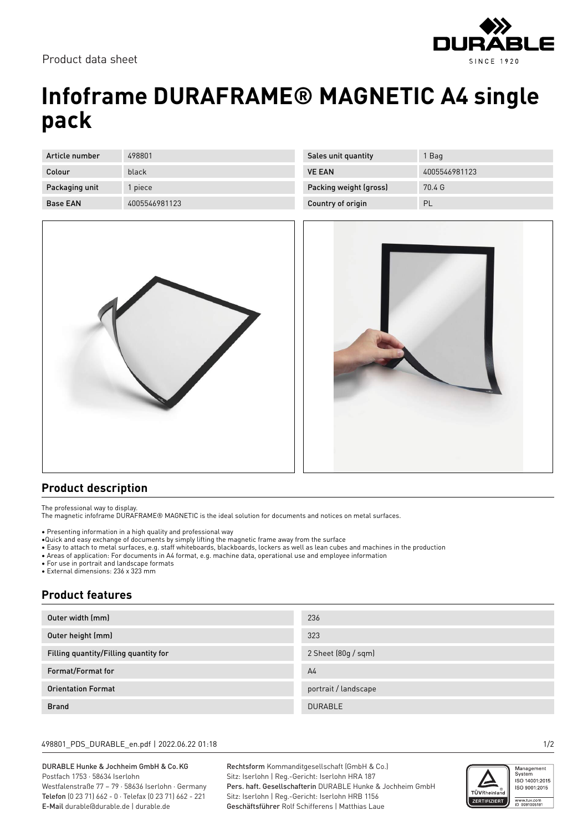

# **Infoframe DURAFRAME® MAGNETIC A4 single pack**

| Article number  | 498801        |
|-----------------|---------------|
| Colour          | black         |
| Packaging unit  | 1 piece       |
| <b>Base EAN</b> | 4005546981123 |

| Sales unit quantity    | 1 Bag         |
|------------------------|---------------|
| <b>VE FAN</b>          | 4005546981123 |
| Packing weight (gross) | 70.4 G        |
| Country of origin      | PL            |
|                        |               |





### **Product description**

The professional way to display.

The magnetic infoframe DURAFRAME® MAGNETIC is the ideal solution for documents and notices on metal surfaces.

• Presenting information in a high quality and professional way

- •Quick and easy exchange of documents by simply lifting the magnetic frame away from the surface
- Easy to attach to metal surfaces, e.g. staff whiteboards, blackboards, lockers as well as lean cubes and machines in the production
- Areas of application: For documents in A4 format, e.g. machine data, operational use and employee information

• For use in portrait and landscape formats

• External dimensions: 236 x 323 mm

## **Product features**

| Outer width (mm)                      | 236                  |
|---------------------------------------|----------------------|
| Outer height (mm)                     | 323                  |
| Filling quantity/Filling quantity for | 2 Sheet (80g / sqm)  |
| Format/Format for                     | A <sub>4</sub>       |
| <b>Orientation Format</b>             | portrait / landscape |
| <b>Brand</b>                          | <b>DURABLE</b>       |

### 498801\_PDS\_DURABLE\_en.pdf | 2022.06.22 01:18 1/2

#### DURABLE Hunke & Jochheim GmbH & Co.KG Postfach 1753 · 58634 Iserlohn Westfalenstraße 77 – 79 · 58636 Iserlohn · Germany

Telefon (0 23 71) 662 - 0 · Telefax (0 23 71) 662 - 221 E-Mail durable@durable.de | durable.de

Rechtsform Kommanditgesellschaft (GmbH & Co.) Sitz: Iserlohn | Reg.-Gericht: Iserlohn HRA 187 Pers. haft. Gesellschafterin DURABLE Hunke & Jochheim GmbH Sitz: Iserlohn | Reg.-Gericht: Iserlohn HRB 1156 Geschäftsführer Rolf Schifferens | Matthias Laue